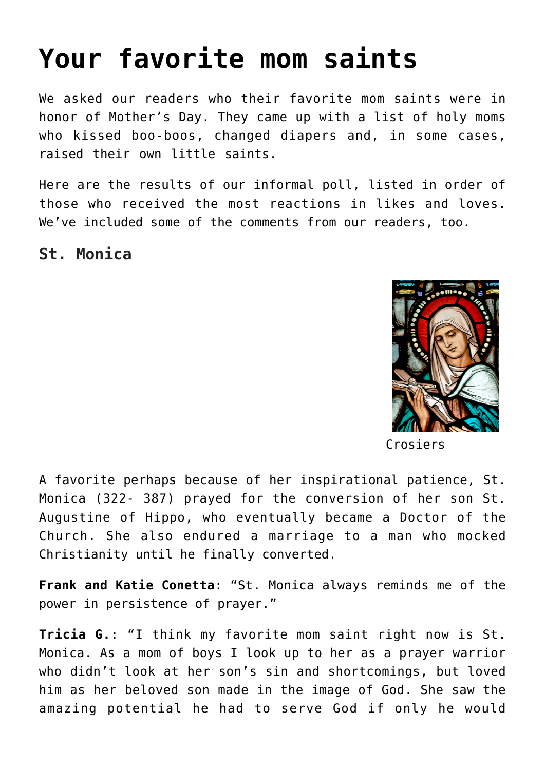# **[Your favorite mom saints](https://www.teachingcatholickids.com/your-favorite-mom-saints/)**

We asked our readers who their favorite mom saints were in honor of Mother's Day. They came up with a list of holy moms who kissed boo-boos, changed diapers and, in some cases, raised their own little saints.

Here are the results of our informal poll, listed in order of those who received the most reactions in likes and loves. We've included some of the comments from our readers, too.

**St. Monica**



Crosiers

A favorite perhaps because of her inspirational patience, St. Monica (322- 387) prayed for the conversion of her son St. Augustine of Hippo, who eventually became a Doctor of the Church. She also endured a marriage to a man who mocked Christianity until he finally converted.

**Frank and Katie Conetta**: "St. Monica always reminds me of the power in persistence of prayer."

**Tricia G.**: "I think my favorite mom saint right now is St. Monica. As a mom of boys I look up to her as a prayer warrior who didn't look at her son's sin and shortcomings, but loved him as her beloved son made in the image of God. She saw the amazing potential he had to serve God if only he would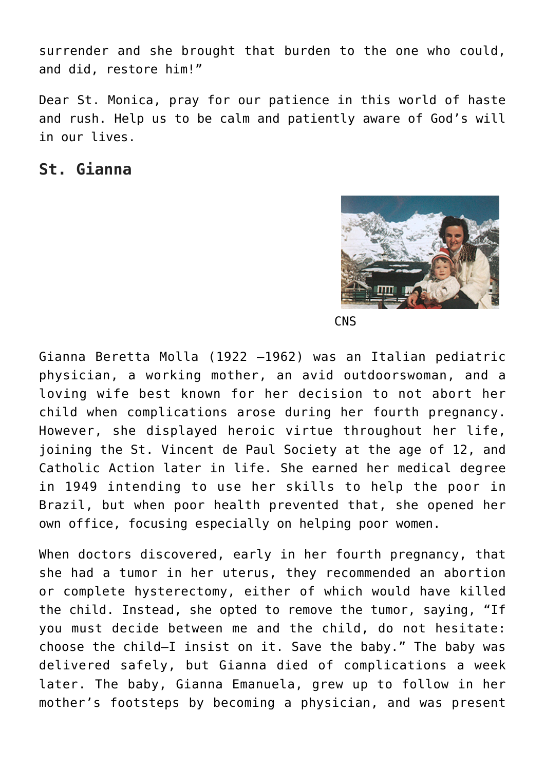surrender and she brought that burden to the one who could, and did, restore him!"

Dear St. Monica, pray for our patience in this world of haste and rush. Help us to be calm and patiently aware of God's will in our lives.

#### **St. Gianna**



**CNS** 

Gianna Beretta Molla (1922 –1962) was an Italian pediatric physician, a working mother, an avid outdoorswoman, and a loving wife best known for her decision to not abort her child when complications arose during her fourth pregnancy. However, she displayed heroic virtue throughout her life, joining the St. Vincent de Paul Society at the age of 12, and Catholic Action later in life. She earned her medical degree in 1949 intending to use her skills to help the poor in Brazil, but when poor health prevented that, she opened her own office, focusing especially on helping poor women.

When doctors discovered, early in her fourth pregnancy, that she had a tumor in her uterus, they recommended an abortion or complete hysterectomy, either of which would have killed the child. Instead, she opted to remove the tumor, saying, "If you must decide between me and the child, do not hesitate: choose the child—I insist on it. Save the baby." The baby was delivered safely, but Gianna died of complications a week later. The baby, Gianna Emanuela, grew up to follow in her mother's footsteps by becoming a physician, and was present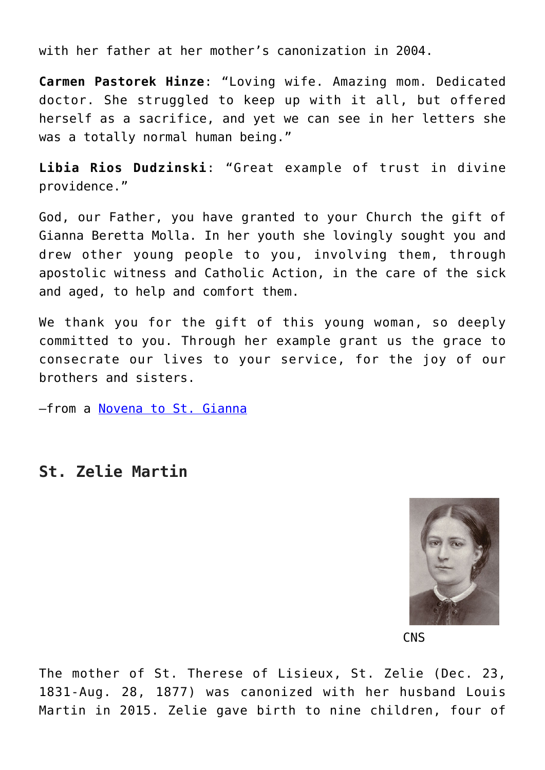with her father at her mother's canonization in 2004.

**Carmen Pastorek Hinze**: "Loving wife. Amazing mom. Dedicated doctor. She struggled to keep up with it all, but offered herself as a sacrifice, and yet we can see in her letters she was a totally normal human being."

**Libia Rios Dudzinski**: "Great example of trust in divine providence."

God, our Father, you have granted to your Church the gift of Gianna Beretta Molla. In her youth she lovingly sought you and drew other young people to you, involving them, through apostolic witness and Catholic Action, in the care of the sick and aged, to help and comfort them.

We thank you for the gift of this young woman, so deeply committed to you. Through her example grant us the grace to consecrate our lives to your service, for the joy of our brothers and sisters.

–from a [Novena to St. Gianna](https://saintgianna.org/novena.htm)

#### **St. Zelie Martin**



**CNS** 

The mother of St. Therese of Lisieux, St. Zelie (Dec. 23, 1831-Aug. 28, 1877) was canonized with her husband Louis Martin in 2015. Zelie gave birth to nine children, four of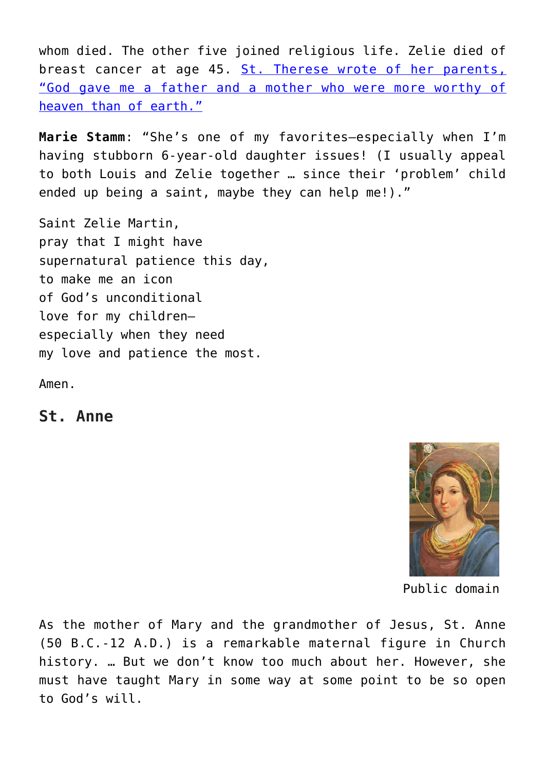whom died. The other five joined religious life. Zelie died of breast cancer at age 45. [St. Therese wrote of her parents,](http://www.foryourmarriage.org/married-saints-of-the-month-blessed-louis-zelie-martin/) ["God gave me a father and a mother who were more worthy of](http://www.foryourmarriage.org/married-saints-of-the-month-blessed-louis-zelie-martin/) [heaven than of earth."](http://www.foryourmarriage.org/married-saints-of-the-month-blessed-louis-zelie-martin/)

**Marie Stamm**: "She's one of my favorites—especially when I'm having stubborn 6-year-old daughter issues! (I usually appeal to both Louis and Zelie together … since their 'problem' child ended up being a saint, maybe they can help me!)."

Saint Zelie Martin, pray that I might have supernatural patience this day, to make me an icon of God's unconditional love for my children especially when they need my love and patience the most.

Amen.

**St. Anne**



Public domain

As the mother of Mary and the grandmother of Jesus, St. Anne (50 B.C.-12 A.D.) is a remarkable maternal figure in Church history. … But we don't know too much about her. However, she must have taught Mary in some way at some point to be so open to God's will.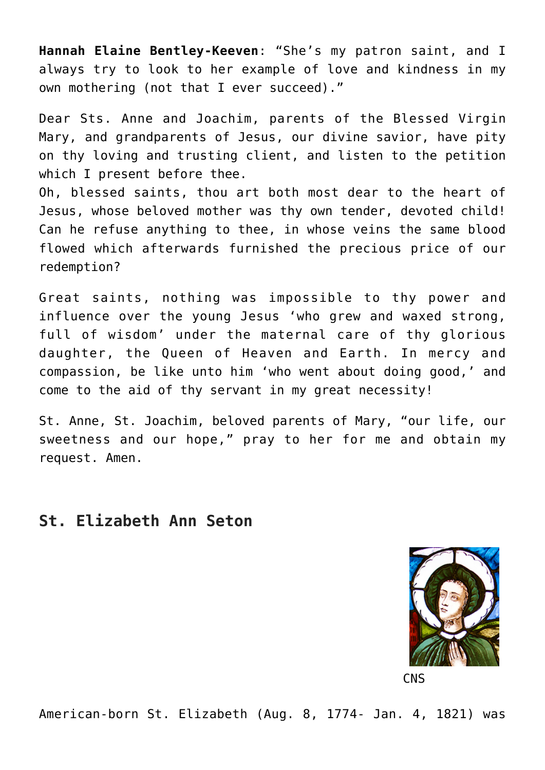**Hannah Elaine Bentley-Keeven**: "She's my patron saint, and I always try to look to her example of love and kindness in my own mothering (not that I ever succeed)."

Dear Sts. Anne and Joachim, parents of the Blessed Virgin Mary, and grandparents of Jesus, our divine savior, have pity on thy loving and trusting client, and listen to the petition which I present before thee.

Oh, blessed saints, thou art both most dear to the heart of Jesus, whose beloved mother was thy own tender, devoted child! Can he refuse anything to thee, in whose veins the same blood flowed which afterwards furnished the precious price of our redemption?

Great saints, nothing was impossible to thy power and influence over the young Jesus 'who grew and waxed strong, full of wisdom' under the maternal care of thy glorious daughter, the Queen of Heaven and Earth. In mercy and compassion, be like unto him 'who went about doing good,' and come to the aid of thy servant in my great necessity!

St. Anne, St. Joachim, beloved parents of Mary, "our life, our sweetness and our hope," pray to her for me and obtain my request. Amen.

# **St. Elizabeth Ann Seton**



**CNS** 

American-born St. Elizabeth (Aug. 8, 1774- Jan. 4, 1821) was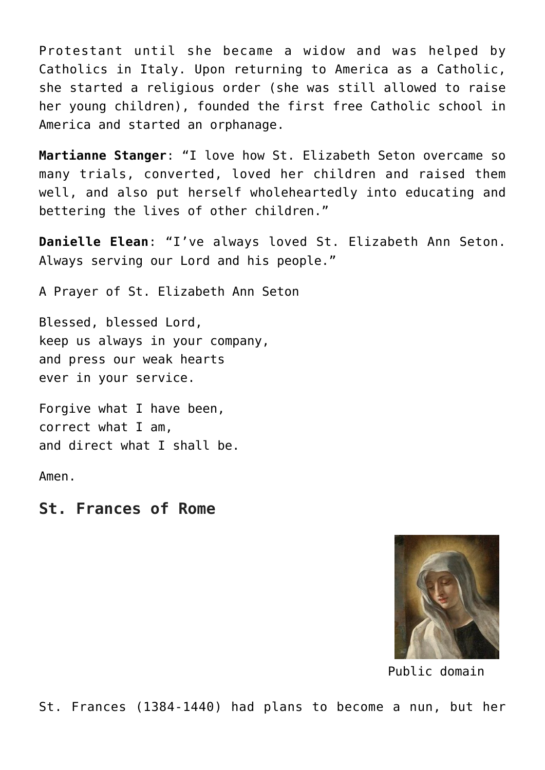Protestant until she became a widow and was helped by Catholics in Italy. Upon returning to America as a Catholic, she started a religious order (she was still allowed to raise her young children), founded the first free Catholic school in America and started an orphanage.

**Martianne Stanger**: "I love how St. Elizabeth Seton overcame so many trials, converted, loved her children and raised them well, and also put herself wholeheartedly into educating and bettering the lives of other children."

**Danielle Elean**: "I've always loved St. Elizabeth Ann Seton. Always serving our Lord and his people."

A Prayer of St. Elizabeth Ann Seton

Blessed, blessed Lord, keep us always in your company, and press our weak hearts ever in your service.

Forgive what I have been, correct what I am, and direct what I shall be.

Amen.

**St. Frances of Rome**



Public domain

St. Frances (1384-1440) had plans to become a nun, but her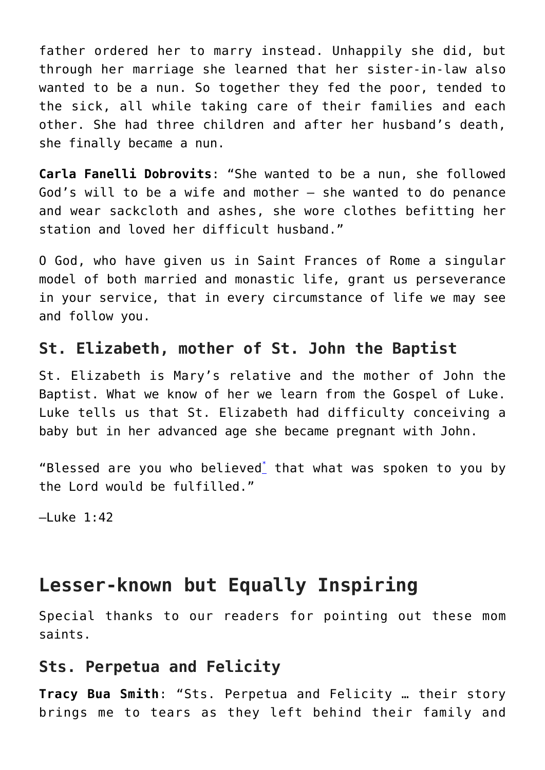father ordered her to marry instead. Unhappily she did, but through her marriage she learned that her sister-in-law also wanted to be a nun. So together they fed the poor, tended to the sick, all while taking care of their families and each other. She had three children and after her husband's death, she finally became a nun.

**Carla Fanelli Dobrovits**: "She wanted to be a nun, she followed God's will to be a wife and mother — she wanted to do penance and wear sackcloth and ashes, she wore clothes befitting her station and loved her difficult husband."

O God, who have given us in Saint Frances of Rome a singular model of both married and monastic life, grant us perseverance in your service, that in every circumstance of life we may see and follow you.

# **St. Elizabeth, mother of St. John the Baptist**

St. Elizabeth is Mary's relative and the mother of John the Baptist. What we know of her we learn from the Gospel of Luke. Luke tells us that St. Elizabeth had difficulty conceiving a baby but in her advanced age she became pregnant with John.

"Blessed are you who believed<sup>[\\*](http://www.usccb.org/bible/luke/1#50001045-1)</sup> that what was spoken to you by the Lord would be fulfilled."

 $-$ Luke 1:42

# **Lesser-known but Equally Inspiring**

Special thanks to our readers for pointing out these mom saints.

#### **Sts. Perpetua and Felicity**

**Tracy Bua Smith**: "Sts. Perpetua and Felicity … their story brings me to tears as they left behind their family and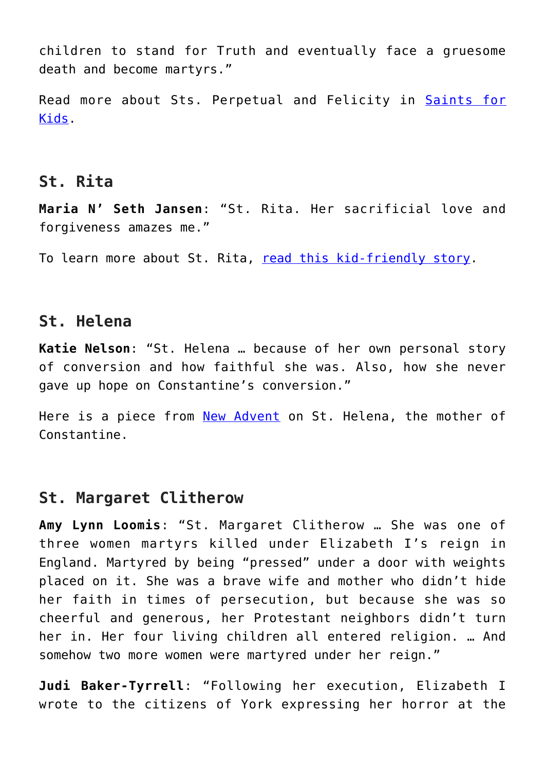children to stand for Truth and eventually face a gruesome death and become martyrs."

Read more about Sts. Perpetual and Felicity in [Saints for](https://teachingcatholickids.com/sts-perpetua-and-felicity-saints-for-kids/) [Kids](https://teachingcatholickids.com/sts-perpetua-and-felicity-saints-for-kids/).

#### **St. Rita**

**Maria N' Seth Jansen**: "St. Rita. Her sacrificial love and forgiveness amazes me."

To learn more about St. Rita, [read this kid-friendly story.](https://teachingcatholickids.com/saint-rita-playing-with-the-saints/)

## **St. Helena**

**Katie Nelson**: "St. Helena … because of her own personal story of conversion and how faithful she was. Also, how she never gave up hope on Constantine's conversion."

Here is a piece from [New Advent](http://www.newadvent.org/cathen/07202b.htm) on St. Helena, the mother of Constantine.

#### **St. Margaret Clitherow**

**Amy Lynn Loomis**: "St. Margaret Clitherow … She was one of three women martyrs killed under Elizabeth I's reign in England. Martyred by being "pressed" under a door with weights placed on it. She was a brave wife and mother who didn't hide her faith in times of persecution, but because she was so cheerful and generous, her Protestant neighbors didn't turn her in. Her four living children all entered religion. … And somehow two more women were martyred under her reign."

**Judi Baker-Tyrrell**: "Following her execution, Elizabeth I wrote to the citizens of York expressing her horror at the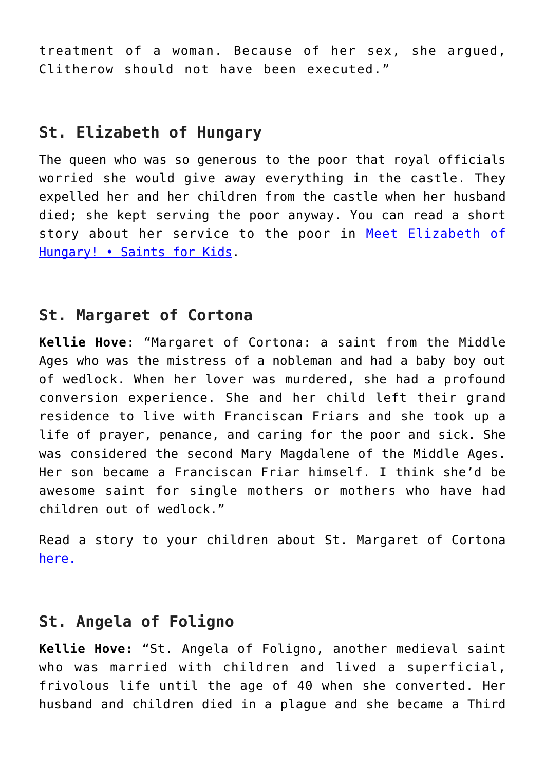treatment of a woman. Because of her sex, she argued, Clitherow should not have been executed."

#### **St. Elizabeth of Hungary**

The queen who was so generous to the poor that royal officials worried she would give away everything in the castle. They expelled her and her children from the castle when her husband died; she kept serving the poor anyway. You can read a short story about her service to the poor in [Meet Elizabeth of](https://teachingcatholickids.com/meet-elizabeth-of-hungary-saints-for-kids/) [Hungary! • Saints for Kids.](https://teachingcatholickids.com/meet-elizabeth-of-hungary-saints-for-kids/)

#### **St. Margaret of Cortona**

**Kellie Hove**: "Margaret of Cortona: a saint from the Middle Ages who was the mistress of a nobleman and had a baby boy out of wedlock. When her lover was murdered, she had a profound conversion experience. She and her child left their grand residence to live with Franciscan Friars and she took up a life of prayer, penance, and caring for the poor and sick. She was considered the second Mary Magdalene of the Middle Ages. Her son became a Franciscan Friar himself. I think she'd be awesome saint for single mothers or mothers who have had children out of wedlock."

Read a story to your children about St. Margaret of Cortona [here.](https://teachingcatholickids.com/saint-agnes-playing-with-the-saints-2-2-2/)

# **St. Angela of Foligno**

**Kellie Hove:** "St. Angela of Foligno, another medieval saint who was married with children and lived a superficial, frivolous life until the age of 40 when she converted. Her husband and children died in a plague and she became a Third